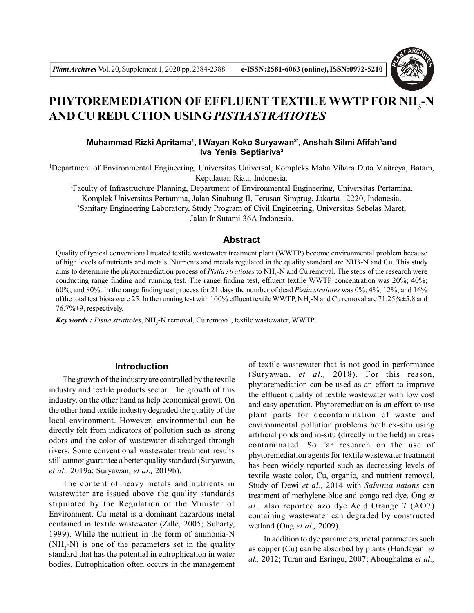

# **PHYTOREMEDIATION OF EFFLUENT TEXTILE WWTP FOR NH<sup>3</sup> -N AND CU REDUCTION USING***PISTIA STRATIOTES*

# **Muhammad Rizki Apritama<sup>1</sup> , I Wayan Koko Suryawan2\*, Anshah Silmi Afifah<sup>1</sup>and Iva Yenis Septiariva<sup>3</sup>**

<sup>1</sup>Department of Environmental Engineering, Universitas Universal, Kompleks Maha Vihara Duta Maitreya, Batam, Kepulauan Riau, Indonesia.

<sup>2</sup>Faculty of Infrastructure Planning, Department of Environmental Engineering, Universitas Pertamina, Komplek Universitas Pertamina, Jalan Sinabung II, Terusan Simprug, Jakarta 12220, Indonesia. <sup>3</sup>Sanitary Engineering Laboratory, Study Program of Civil Engineering, Universitas Sebelas Maret, Jalan Ir Sutami 36A Indonesia.

# **Abstract**

Quality of typical conventional treated textile wastewater treatment plant (WWTP) become environmental problem because of high levels of nutrients and metals. Nutrients and metals regulated in the quality standard are NH3-N and Cu. This study aims to determine the phytoremediation process of *Pistia stratiotes* to NH<sub>3</sub>-N and Cu removal. The steps of the research were conducting range finding and running test. The range finding test, effluent textile WWTP concentration was 20%; 40%; 60%; and 80%. In the range finding test process for 21 days the number of dead *Pistia straiotes* was 0%; 4%; 12%; and 16% of the total test biota were 25. In the running test with 100% effluent textile WWTP, NH<sub>3</sub>-N and Cu removal are 71.25% $\pm$ 5.8 and 76.7%±9, respectively.

*Key words : Pistia stratiotes*, NH<sup>3</sup> -N removal, Cu removal, textile wastewater, WWTP.

## **Introduction**

The growth of the industry are controlled by the textile industry and textile products sector. The growth of this industry, on the other hand as help economical growt. On the other hand textile industry degraded the quality of the local environment. However, environmental can be directly felt from indicators of pollution such as strong odors and the color of wastewater discharged through rivers. Some conventional wastewater treatment results still cannot guarantee a better quality standard (Suryawan, *et al.,* 2019a; Suryawan, *et al.,* 2019b).

The content of heavy metals and nutrients in wastewater are issued above the quality standards stipulated by the Regulation of the Minister of Environment. Cu metal is a dominant hazardous metal contained in textile wastewater (Zille, 2005; Suharty, 1999). While the nutrient in the form of ammonia-N  $(NH<sub>3</sub>-N)$  is one of the parameters set in the quality standard that has the potential in eutrophication in water bodies. Eutrophication often occurs in the management

of textile wastewater that is not good in performance (Suryawan, *et al.,* 2018). For this reason, phytoremediation can be used as an effort to improve the effluent quality of textile wastewater with low cost and easy operation. Phytoremediation is an effort to use plant parts for decontamination of waste and environmental pollution problems both ex-situ using artificial ponds and in-situ (directly in the field) in areas contaminated. So far research on the use of phytoremediation agents for textile wastewater treatment has been widely reported such as decreasing levels of textile waste color, Cu, organic, and nutrient removal. Study of Dewi *et al.,* 2014 with *Salvinia natans* can treatment of methylene blue and congo red dye. Ong *et al.,* also reported azo dye Acid Orange 7 (AO7) containing wastewater can degraded by constructed wetland (Ong *et al.,* 2009).

 In addition to dye parameters, metal parameters such as copper (Cu) can be absorbed by plants (Handayani *et al.,* 2012; Turan and Esringu, 2007; Aboughalma *et al.,*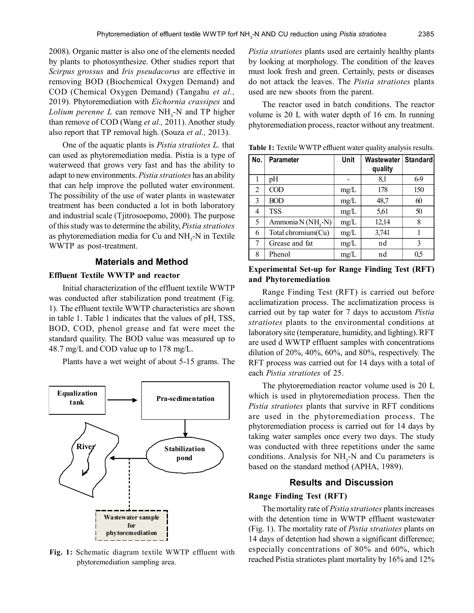2008). Organic matter is also one of the elements needed by plants to photosynthesize. Other studies report that *Scirpus grossus* and *Iris pseudacorus* are effective in removing BOD (Biochemical Oxygen Demand) and COD (Chemical Oxygen Demand) (Tangahu *et al.,* 2019). Phytoremediation with *Eichornia crassipes* and  $L$ *olium perenne*  $L$  can remove  $NH<sub>3</sub>$ -N and TP higher than remove of COD (Wang *et al.,* 2011). Another study also report that TP removal high. (Souza *et al.,* 2013).

One of the aquatic plants is *Pistia stratiotes L.* that can used as phytoremediation media. Pistia is a type of waterweed that grows very fast and has the ability to adapt to new environments. *Pistia stratiotes* has an ability that can help improve the polluted water environment. The possibility of the use of water plants in wastewater treatment has been conducted a lot in both laboratory and industrial scale (Tjitrosoepomo, 2000). The purpose of this study was to determine the ability, *Pistia stratiotes* as phytoremediation media for Cu and  $NH<sub>3</sub>$ -N in Textile WWTP as post-treatment.

#### **Materials and Method**

#### **Effluent Textile WWTP and reactor**

Initial characterization of the effluent textile WWTP was conducted after stabilization pond treatment (Fig. 1). The effluent textile WWTP characteristics are shown in table 1. Table 1 indicates that the values of pH, TSS, BOD, COD, phenol grease and fat were meet the standard quaility. The BOD value was measured up to 48.7 mg/L and COD value up to 178 mg/L.

Plants have a wet weight of about 5-15 grams. The



**Fig. 1:** Schematic diagram textile WWTP effluent with phytoremediation sampling area.

*Pistia stratiotes* plants used are certainly healthy plants by looking at morphology. The condition of the leaves must look fresh and green. Certainly, pests or diseases do not attack the leaves. The *Pistia stratiotes* plants used are new shoots from the parent.

The reactor used in batch conditions. The reactor volume is 20 L with water depth of 16 cm. In running phytoremediation process, reactor without any treatment.

| No. | <b>Parameter</b>   | Unit | Wastewater   Standard |     |
|-----|--------------------|------|-----------------------|-----|
|     |                    |      | quality               |     |
| 1   | pH                 |      | 8,1                   | 6.9 |
| 2   | COD                | mg/L | 178                   | 150 |
| 3   | <b>BOD</b>         | mg/L | 48,7                  | 60  |
| 4   | TSS                | mg/L | 5,61                  | 50  |
| 5   | Ammonia N (NH,-N)  | mg/L | 12,14                 | 8   |
| 6   | Total chromium(Cu) | mg/L | 3,741                 |     |
| 7   | Grease and fat     | mg/L | nd                    | 3   |
| 8   | Phenol             | mg/L | nd                    | 0,5 |

**Table 1:** Textile WWTP effluent water quality analysis results.

# **Experimental Set-up for Range Finding Test (RFT) and Phytoremediation**

Range Finding Test (RFT) is carried out before acclimatization process. The acclimatization process is carried out by tap water for 7 days to accustom *Pistia stratiotes* plants to the environmental conditions at laboratory site (temperature, humidity, and lighting). RFT are used d WWTP effluent samples with concentrations dilution of 20%, 40%, 60%, and 80%, respectively. The RFT process was carried out for 14 days with a total of each *Pistia stratiotes* of 25.

The phytoremediation reactor volume used is 20 L which is used in phytoremediation process. Then the *Pistia stratiotes* plants that survive in RFT conditions are used in the phytoremediation process. The phytoremediation process is carried out for 14 days by taking water samples once every two days. The study was conducted with three repetitions under the same conditions. Analysis for  $NH<sub>3</sub>$ -N and Cu parameters is based on the standard method (APHA, 1989).

## **Results and Discussion**

#### **Range Finding Test (RFT)**

The mortality rate of *Pistia stratiotes* plants increases with the detention time in WWTP effluent wastewater (Fig. 1). The mortality rate of *Pistia stratiotes* plants on 14 days of detention had shown a significant difference; especially concentrations of 80% and 60%, which reached Pistia stratiotes plant mortality by 16% and 12%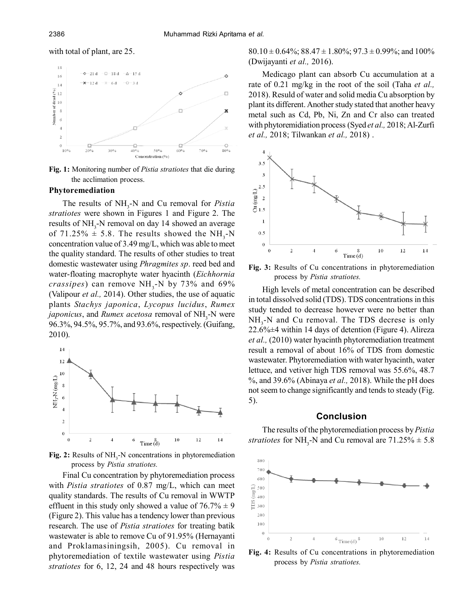## with total of plant, are 25.



**Fig. 1:** Monitoring number of *Pistia stratiotes* that die during the acclimation process.

## **Phytoremediation**

The results of NH<sub>3</sub>-N and Cu removal for *Pistia stratiotes* were shown in Figures 1 and Figure 2. The results of NH<sub>3</sub>-N removal on day 14 showed an average of  $71.25\% \pm 5.8$ . The results showed the NH<sub>3</sub>-N concentration value of 3.49 mg/L, which was able to meet the quality standard. The results of other studies to treat domestic wastewater using *Phragmites sp*. reed bed and water-floating macrophyte water hyacinth (*Eichhornia*  $crassipes)$  can remove  $NH<sub>3</sub>$ -N by 73% and 69% (Valipour *et al.,* 2014). Other studies, the use of aquatic plants *Stachys japonica*, *Lycopus lucidus*, *Rumex japonicus*, and *Rumex acetosa* removal of NH<sub>3</sub>-N were 96.3%, 94.5%, 95.7%, and 93.6%, respectively. (Guifang, 2010).



**Fig. 2:** Results of NH<sub>3</sub>-N concentrations in phytoremediation process by *Pistia stratiotes.*

Final Cu concentration by phytoremediation process with *Pistia stratiotes* of 0.87 mg/L, which can meet quality standards. The results of Cu removal in WWTP effluent in this study only showed a value of  $76.7\% \pm 9$ (Figure 2). This value has a tendency lower than previous research. The use of *Pistia stratiotes* for treating batik wastewater is able to remove Cu of 91.95% (Hernayanti and Proklamasiningsih, 2005). Cu removal in phytoremediation of textile wastewater using *Pistia stratiotes* for 6, 12, 24 and 48 hours respectively was

 $80.10 \pm 0.64\%$ ;  $88.47 \pm 1.80\%$ ;  $97.3 \pm 0.99\%$ ; and  $100\%$ (Dwijayanti *et al.,* 2016).

Medicago plant can absorb Cu accumulation at a rate of 0.21 mg/kg in the root of the soil (Taha *et al.,* 2018). Resuld of water and solid media Cu absorption by plant its different. Another study stated that another heavy metal such as Cd, Pb, Ni, Zn and Cr also can treated with phytoremidiation process (Syed *et al.*, 2018; Al-Zurfi *et al.,* 2018; Tilwankan *et al.,* 2018) .



**Fig. 3:** Results of Cu concentrations in phytoremediation process by *Pistia stratiotes.*

High levels of metal concentration can be described in total dissolved solid (TDS). TDS concentrations in this study tended to decrease however were no better than  $NH<sub>3</sub>$ -N and Cu removal. The TDS decrese is only 22.6%±4 within 14 days of detention (Figure 4). Alireza *et al.,* (2010) water hyacinth phytoremediation treatment result a removal of about 16% of TDS from domestic wastewater. Phytoremediation with water hyacinth, water lettuce, and vetiver high TDS removal was 55.6%, 48.7 %, and 39.6% (Abinaya *et al.,* 2018). While the pH does not seem to change significantly and tends to steady (Fig. 5).

#### **Conclusion**

The results of the phytoremediation process by *Pistia stratiotes* for  $NH<sub>3</sub>-N$  and Cu removal are  $71.25\% \pm 5.8$ 



**Fig. 4:** Results of Cu concentrations in phytoremediation process by *Pistia stratiotes.*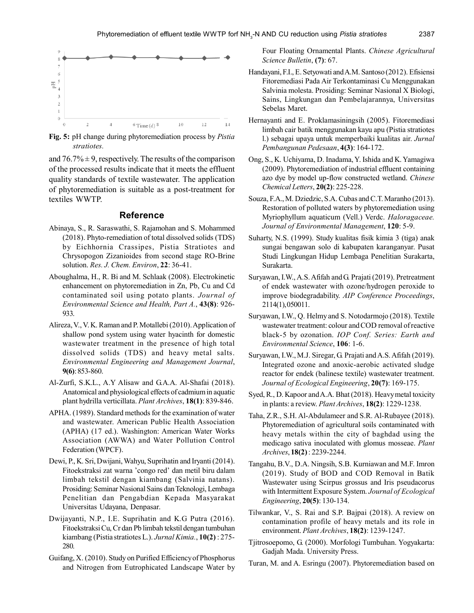

**Fig. 5:** pH change during phytoremediation process by *Pistia stratiotes.*

and  $76.7\% \pm 9$ , respectively. The results of the comparison of the processed results indicate that it meets the effluent quality standards of textile wastewater. The application of phytoremediation is suitable as a post-treatment for textiles WWTP.

#### **Reference**

- Abinaya, S., R. Saraswathi, S. Rajamohan and S. Mohammed (2018). Phyto-remediation of total dissolved solids (TDS) by Eichhornia Crassipes, Pistia Stratiotes and Chrysopogon Zizanioides from second stage RO-Brine solution. *Res. J. Chem. Environ*, **22**: 36-41.
- Aboughalma, H., R. Bi and M. Schlaak (2008). Electrokinetic enhancement on phytoremediation in Zn, Pb, Cu and Cd contaminated soil using potato plants. *Journal of Environmental Science and Health, Part A.*, **43(8)**: 926- 933.
- Alireza, V., V. K. Raman and P. Motallebi (2010). Application of shallow pond system using water hyacinth for domestic wastewater treatment in the presence of high total dissolved solids (TDS) and heavy metal salts. *Environmental Engineering and Management Journal*, **9(6)**: 853-860.
- Al-Zurfi, S.K.L., A.Y Alisaw and G.A.A. Al-Shafai (2018). Anatomical and physiological effects of cadmium in aquatic plant hydrilla verticillata. *Plant Archives*, **18(1)**: 839-846.
- APHA. (1989). Standard methods for the examination of water and wastewater. American Public Health Association (APHA) (17 ed.). Washington: American Water Works Association (AWWA) and Water Pollution Control Federation (WPCF).
- Dewi, P., K. Sri, Dwijani, Wahyu, Suprihatin and Iryanti (2014). Fitoekstraksi zat warna 'congo red' dan metil biru dalam limbah tekstil dengan kiambang (Salvinia natans). Prosiding: Seminar Nasional Sains dan Teknologi, Lembaga Penelitian dan Pengabdian Kepada Masyarakat Universitas Udayana, Denpasar.
- Dwijayanti, N.P., I.E. Suprihatin and K.G Putra (2016). Fitoekstraksi Cu, Cr dan Pb limbah tekstil dengan tumbuhan kiambang (Pistia stratiotes L.). *Jurnal Kimia.*, **10(2)** : 275- 280.
- Guifang, X. (2010). Study on Purified Efficiency of Phosphorus and Nitrogen from Eutrophicated Landscape Water by

Four Floating Ornamental Plants. *Chinese Agricultural Science Bulletin*, **(7)**: 67.

- Handayani, F.I., E. Setyowati and A.M. Santoso (2012). Efisiensi Fitoremediasi Pada Air Terkontaminasi Cu Menggunakan Salvinia molesta. Prosiding: Seminar Nasional X Biologi, Sains, Lingkungan dan Pembelajarannya, Universitas Sebelas Maret.
- Hernayanti and E. Proklamasiningsih (2005). Fitoremediasi limbah cair batik menggunakan kayu apu (Pistia stratiotes l.) sebagai upaya untuk memperbaiki kualitas air. *Jurnal Pembangunan Pedesaan*, **4(3)**: 164-172.
- Ong, S., K. Uchiyama, D. Inadama, Y. Ishida and K. Yamagiwa (2009). Phytoremediation of industrial effluent containing azo dye by model up-flow constructed wetland. *Chinese Chemical Letters*, **20(2)**: 225-228.
- Souza, F.A., M. Dziedzic, S.A. Cubas and C.T. Maranho (2013). Restoration of polluted waters by phytoremediation using Myriophyllum aquaticum (Vell.) Verdc. *Haloragaceae. Journal of Environmental Management*, **120**: 5-9.
- Suharty, N.S. (1999). Study kualitas fisik kimia 3 (tiga) anak sungai bengawan solo di kabupaten karanganyar. Pusat Studi Lingkungan Hidup Lembaga Penelitian Surakarta, Surakarta.
- Suryawan, I.W., A.S. Afifah and G. Prajati (2019). Pretreatment of endek wastewater with ozone/hydrogen peroxide to improve biodegradability. *AIP Conference Proceedings*, 2114(1), 050011.
- Suryawan, I.W., Q. Helmy and S. Notodarmojo (2018). Textile wastewater treatment: colour and COD removal of reactive black-5 by ozonation. *IOP Conf. Series: Earth and Environmental Science*, **106**: 1-6.
- Suryawan, I.W., M.J. Siregar, G. Prajati and A.S. Afifah (2019). Integrated ozone and anoxic-aerobic activated sludge reactor for endek (balinese textile) wastewater treatment. *Journal of Ecological Engineering*, **20(7)**: 169-175.
- Syed, R., D. Kapoor and A.A. Bhat (2018). Heavy metal toxicity in plants: a review. *Plant Archives*, **18(2)**: 1229-1238.
- Taha, Z.R., S.H. Al-Abdulameer and S.R. Al-Rubayee (2018). Phytoremediation of agricultural soils contaminated with heavy metals within the city of baghdad using the medicago sativa inoculated with glomus mosseae. *Plant Archives*, **18(2)** : 2239-2244.
- Tangahu, B.V., D.A. Ningsih, S.B. Kurniawan and M.F. Imron (2019). Study of BOD and COD Removal in Batik Wastewater using Scirpus grossus and Iris pseudacorus with Intermittent Exposure System. *Journal of Ecological Engineering*, **20(5)**: 130-134.
- Tilwankar, V., S. Rai and S.P. Bajpai (2018). A review on contamination profile of heavy metals and its role in environment. *Plant Archives*, **18(2)**: 1239-1247.
- Tjitrosoepomo, G. (2000). Morfologi Tumbuhan. Yogyakarta: Gadjah Mada. University Press.
- Turan, M. and A. Esringu (2007). Phytoremediation based on